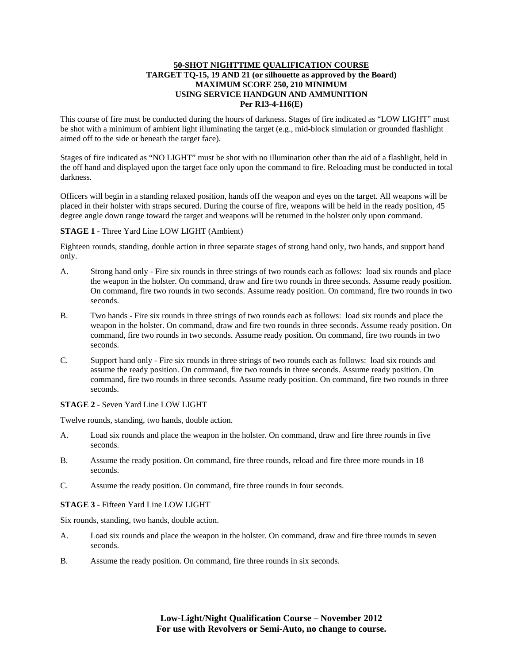# **50-SHOT NIGHTTIME QUALIFICATION COURSE TARGET TQ-15, 19 AND 21 (or silhouette as approved by the Board) MAXIMUM SCORE 250, 210 MINIMUM USING SERVICE HANDGUN AND AMMUNITION Per R13-4-116(E)**

This course of fire must be conducted during the hours of darkness. Stages of fire indicated as "LOW LIGHT" must be shot with a minimum of ambient light illuminating the target (e.g., mid-block simulation or grounded flashlight aimed off to the side or beneath the target face).

Stages of fire indicated as "NO LIGHT" must be shot with no illumination other than the aid of a flashlight, held in the off hand and displayed upon the target face only upon the command to fire. Reloading must be conducted in total darkness.

Officers will begin in a standing relaxed position, hands off the weapon and eyes on the target. All weapons will be placed in their holster with straps secured. During the course of fire, weapons will be held in the ready position, 45 degree angle down range toward the target and weapons will be returned in the holster only upon command.

## **STAGE 1** - Three Yard Line LOW LIGHT (Ambient)

Eighteen rounds, standing, double action in three separate stages of strong hand only, two hands, and support hand only.

- A. Strong hand only Fire six rounds in three strings of two rounds each as follows: load six rounds and place the weapon in the holster. On command, draw and fire two rounds in three seconds. Assume ready position. On command, fire two rounds in two seconds. Assume ready position. On command, fire two rounds in two seconds.
- B. Two hands Fire six rounds in three strings of two rounds each as follows: load six rounds and place the weapon in the holster. On command, draw and fire two rounds in three seconds. Assume ready position. On command, fire two rounds in two seconds. Assume ready position. On command, fire two rounds in two seconds.
- C. Support hand only Fire six rounds in three strings of two rounds each as follows: load six rounds and assume the ready position. On command, fire two rounds in three seconds. Assume ready position. On command, fire two rounds in three seconds. Assume ready position. On command, fire two rounds in three seconds.

#### **STAGE 2** - Seven Yard Line LOW LIGHT

Twelve rounds, standing, two hands, double action.

- A. Load six rounds and place the weapon in the holster. On command, draw and fire three rounds in five seconds.
- B. Assume the ready position. On command, fire three rounds, reload and fire three more rounds in 18 seconds.
- C. Assume the ready position. On command, fire three rounds in four seconds.

# **STAGE 3** - Fifteen Yard Line LOW LIGHT

Six rounds, standing, two hands, double action.

- A. Load six rounds and place the weapon in the holster. On command, draw and fire three rounds in seven seconds.
- B. Assume the ready position. On command, fire three rounds in six seconds.

**Low-Light/Night Qualification Course – November 2012 For use with Revolvers or Semi-Auto, no change to course.**